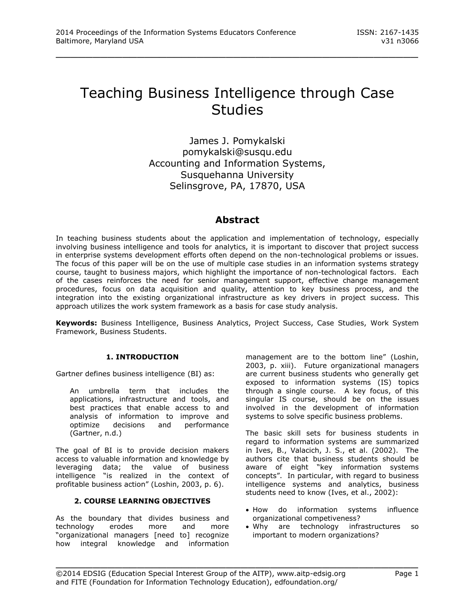# Teaching Business Intelligence through Case **Studies**

\_\_\_\_\_\_\_\_\_\_\_\_\_\_\_\_\_\_\_\_\_\_\_\_\_\_\_\_\_\_\_\_\_\_\_\_\_\_\_\_\_\_\_\_\_\_\_\_\_

James J. Pomykalski pomykalski@susqu.edu Accounting and Information Systems, Susquehanna University Selinsgrove, PA, 17870, USA

# **Abstract**

In teaching business students about the application and implementation of technology, especially involving business intelligence and tools for analytics, it is important to discover that project success in enterprise systems development efforts often depend on the non-technological problems or issues. The focus of this paper will be on the use of multiple case studies in an information systems strategy course, taught to business majors, which highlight the importance of non-technological factors. Each of the cases reinforces the need for senior management support, effective change management procedures, focus on data acquisition and quality, attention to key business process, and the integration into the existing organizational infrastructure as key drivers in project success. This approach utilizes the work system framework as a basis for case study analysis.

**Keywords:** Business Intelligence, Business Analytics, Project Success, Case Studies, Work System Framework, Business Students.

# **1. INTRODUCTION**

Gartner defines business intelligence (BI) as:

An umbrella term that includes the applications, infrastructure and tools, and best practices that enable access to and analysis of information to improve and optimize decisions and performance (Gartner, n.d.)

The goal of BI is to provide decision makers access to valuable information and knowledge by leveraging data; the value of business intelligence "is realized in the context of profitable business action" (Loshin, 2003, p. 6).

# **2. COURSE LEARNING OBJECTIVES**

As the boundary that divides business and technology erodes more and more "organizational managers [need to] recognize how integral knowledge and information

management are to the bottom line" (Loshin, 2003, p. xiii). Future organizational managers are current business students who generally get exposed to information systems (IS) topics through a single course. A key focus, of this singular IS course, should be on the issues involved in the development of information systems to solve specific business problems.

The basic skill sets for business students in regard to information systems are summarized in Ives, B., Valacich, J. S., et al. (2002). The authors cite that business students should be aware of eight "key information systems concepts". In particular, with regard to business intelligence systems and analytics, business students need to know (Ives, et al., 2002):

- How do information systems influence organizational competiveness?
- Why are technology infrastructures so important to modern organizations?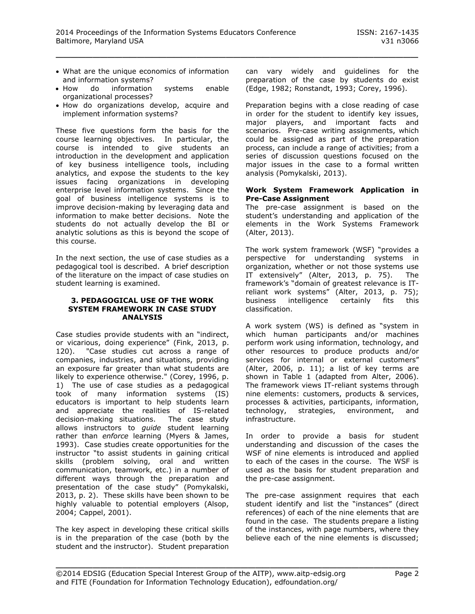- What are the unique economics of information and information systems?
- How do information systems enable organizational processes?
- How do organizations develop, acquire and implement information systems?

These five questions form the basis for the course learning objectives. In particular, the course is intended to give students an introduction in the development and application of key business intelligence tools, including analytics, and expose the students to the key issues facing organizations in developing enterprise level information systems. Since the goal of business intelligence systems is to improve decision-making by leveraging data and information to make better decisions. Note the students do not actually develop the BI or analytic solutions as this is beyond the scope of this course.

In the next section, the use of case studies as a pedagogical tool is described. A brief description of the literature on the impact of case studies on student learning is examined.

#### **3. PEDAGOGICAL USE OF THE WORK SYSTEM FRAMEWORK IN CASE STUDY ANALYSIS**

Case studies provide students with an "indirect, or vicarious, doing experience" (Fink, 2013, p. 120). "Case studies cut across a range of companies, industries, and situations, providing an exposure far greater than what students are likely to experience otherwise." (Corey, 1996, p. 1) The use of case studies as a pedagogical took of many information systems (IS) educators is important to help students learn and appreciate the realities of IS-related decision-making situations. The case study allows instructors to *guide* student learning rather than *enforce* learning (Myers & James, 1993). Case studies create opportunities for the instructor "to assist students in gaining critical skills (problem solving, oral and written communication, teamwork, etc.) in a number of different ways through the preparation and presentation of the case study" (Pomykalski, 2013, p. 2). These skills have been shown to be highly valuable to potential employers (Alsop, 2004; Cappel, 2001).

The key aspect in developing these critical skills is in the preparation of the case (both by the student and the instructor). Student preparation can vary widely and guidelines for the preparation of the case by students do exist (Edge, 1982; Ronstandt, 1993; Corey, 1996).

Preparation begins with a close reading of case in order for the student to identify key issues, major players, and important facts and scenarios. Pre-case writing assignments, which could be assigned as part of the preparation process, can include a range of activities; from a series of discussion questions focused on the major issues in the case to a formal written analysis (Pomykalski, 2013).

#### **Work System Framework Application in Pre-Case Assignment**

The pre-case assignment is based on the student's understanding and application of the elements in the Work Systems Framework (Alter, 2013).

The work system framework (WSF) "provides a perspective for understanding systems in organization, whether or not those systems use IT extensively" (Alter, 2013, p. 75). The framework's "domain of greatest relevance is ITreliant work systems" (Alter, 2013, p. 75); business intelligence certainly fits this classification.

A work system (WS) is defined as "system in which human participants and/or machines perform work using information, technology, and other resources to produce products and/or services for internal or external customers" (Alter, 2006, p. 11); a list of key terms are shown in Table 1 (adapted from Alter, 2006). The framework views IT-reliant systems through nine elements: customers, products & services, processes & activities, participants, information, technology, strategies, environment, and infrastructure.

In order to provide a basis for student understanding and discussion of the cases the WSF of nine elements is introduced and applied to each of the cases in the course. The WSF is used as the basis for student preparation and the pre-case assignment.

The pre-case assignment requires that each student identify and list the "instances" (direct references) of each of the nine elements that are found in the case. The students prepare a listing of the instances, with page numbers, where they believe each of the nine elements is discussed;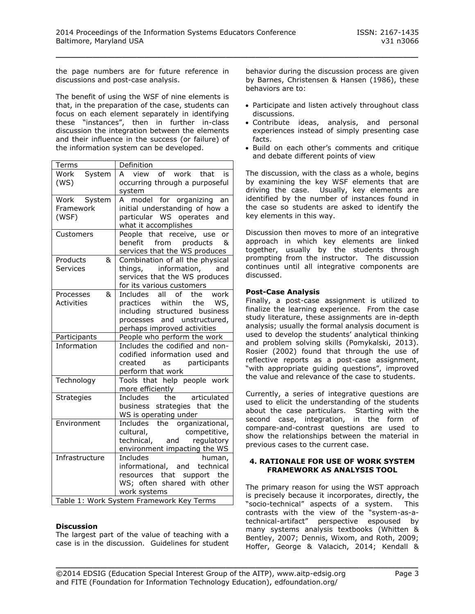the page numbers are for future reference in discussions and post-case analysis.

The benefit of using the WSF of nine elements is that, in the preparation of the case, students can focus on each element separately in identifying these "instances", then in further in-class discussion the integration between the elements and their influence in the success (or failure) of the information system can be developed.

| Terms             | Definition                                                      |
|-------------------|-----------------------------------------------------------------|
| System<br>Work    | view of work that is<br>A                                       |
| (WS)              | occurring through a purposeful                                  |
|                   | system                                                          |
| Work System       | A model for organizing an                                       |
| Framework         | initial understanding of how a                                  |
| (WSF)             | particular WS operates and                                      |
|                   | what it accomplishes                                            |
| Customers         | People that receive, use<br>or                                  |
|                   | benefit from products<br>&                                      |
|                   | services that the WS produces                                   |
| Products<br>&     | Combination of all the physical                                 |
| <b>Services</b>   | things, information, and                                        |
|                   | services that the WS produces                                   |
|                   | for its various customers                                       |
| &<br>Processes    | Includes all of<br>the work                                     |
| <b>Activities</b> | practices within<br>the<br>WS,                                  |
|                   | including structured business                                   |
|                   | processes and unstructured,                                     |
|                   | perhaps improved activities                                     |
| Participants      | People who perform the work                                     |
| Information       | Includes the codified and non-<br>codified information used and |
|                   | created<br>as participants                                      |
|                   | perform that work                                               |
| Technology        | Tools that help people work                                     |
|                   | more efficiently                                                |
| <b>Strategies</b> | articulated<br>the<br>Includes                                  |
|                   | business strategies that the                                    |
|                   | WS is operating under                                           |
| Environment       | Includes the organizational,                                    |
|                   | competitive,<br>cultural,                                       |
|                   | technical, and<br>regulatory                                    |
|                   | environment impacting the WS                                    |
| Infrastructure    | <b>Includes</b><br>human,                                       |
|                   | informational, and technical                                    |
|                   | resources that support the                                      |
|                   | WS; often shared with other                                     |
|                   | work systems                                                    |
|                   | Table 1: Work System Framework Key Terms                        |

# **Discussion**

The largest part of the value of teaching with a case is in the discussion. Guidelines for student behavior during the discussion process are given by Barnes, Christensen & Hansen (1986), these behaviors are to:

- Participate and listen actively throughout class discussions.
- Contribute ideas, analysis, and personal experiences instead of simply presenting case facts.
- Build on each other's comments and critique and debate different points of view

The discussion, with the class as a whole, begins by examining the key WSF elements that are driving the case. Usually, key elements are identified by the number of instances found in the case so students are asked to identify the key elements in this way.

Discussion then moves to more of an integrative approach in which key elements are linked together, usually by the students through prompting from the instructor. The discussion continues until all integrative components are discussed.

#### **Post-Case Analysis**

Finally, a post-case assignment is utilized to finalize the learning experience. From the case study literature, these assignments are in-depth analysis; usually the formal analysis document is used to develop the students' analytical thinking and problem solving skills (Pomykalski, 2013). Rosier (2002) found that through the use of reflective reports as a post-case assignment, "with appropriate guiding questions", improved the value and relevance of the case to students.

Currently, a series of integrative questions are used to elicit the understanding of the students about the case particulars. Starting with the second case, integration, in the form of compare-and-contrast questions are used to show the relationships between the material in previous cases to the current case.

#### **4. RATIONALE FOR USE OF WORK SYSTEM FRAMEWORK AS ANALYSIS TOOL**

The primary reason for using the WST approach is precisely because it incorporates, directly, the "socio-technical" aspects of a system. This "socio-technical" aspects of a system. contrasts with the view of the "system-as-atechnical-artifact" perspective espoused by many systems analysis textbooks (Whitten & Bentley, 2007; Dennis, Wixom, and Roth, 2009; Hoffer, George & Valacich, 2014; Kendall &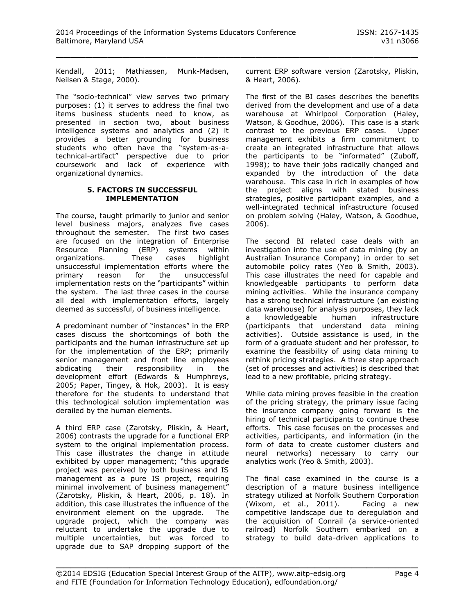Kendall, 2011; Mathiassen, Munk-Madsen, Neilsen & Stage, 2000).

The "socio-technical" view serves two primary purposes: (1) it serves to address the final two items business students need to know, as presented in section two, about business intelligence systems and analytics and (2) it provides a better grounding for business students who often have the "system-as-atechnical-artifact" perspective due to prior coursework and lack of experience with organizational dynamics.

# **5. FACTORS IN SUCCESSFUL IMPLEMENTATION**

The course, taught primarily to junior and senior level business majors, analyzes five cases throughout the semester. The first two cases are focused on the integration of Enterprise Resource Planning (ERP) systems within organizations. These cases highlight unsuccessful implementation efforts where the primary reason for the unsuccessful implementation rests on the "participants" within the system. The last three cases in the course all deal with implementation efforts, largely deemed as successful, of business intelligence.

A predominant number of "instances" in the ERP cases discuss the shortcomings of both the participants and the human infrastructure set up for the implementation of the ERP; primarily senior management and front line employees abdicating their responsibility in the development effort (Edwards & Humphreys, 2005; Paper, Tingey, & Hok, 2003). It is easy therefore for the students to understand that this technological solution implementation was derailed by the human elements.

A third ERP case (Zarotsky, Pliskin, & Heart, 2006) contrasts the upgrade for a functional ERP system to the original implementation process. This case illustrates the change in attitude exhibited by upper management; "this upgrade project was perceived by both business and IS management as a pure IS project, requiring minimal involvement of business management" (Zarotsky, Pliskin, & Heart, 2006, p. 18). In addition, this case illustrates the influence of the environment element on the upgrade. The upgrade project, which the company was reluctant to undertake the upgrade due to multiple uncertainties, but was forced to upgrade due to SAP dropping support of the

current ERP software version (Zarotsky, Pliskin, & Heart, 2006).

The first of the BI cases describes the benefits derived from the development and use of a data warehouse at Whirlpool Corporation (Haley, Watson, & Goodhue, 2006). This case is a stark contrast to the previous ERP cases. Upper management exhibits a firm commitment to create an integrated infrastructure that allows the participants to be "informated" (Zuboff, 1998); to have their jobs radically changed and expanded by the introduction of the data warehouse. This case in rich in examples of how the project aligns with stated business strategies, positive participant examples, and a well-integrated technical infrastructure focused on problem solving (Haley, Watson, & Goodhue, 2006).

The second BI related case deals with an investigation into the use of data mining (by an Australian Insurance Company) in order to set automobile policy rates (Yeo & Smith, 2003). This case illustrates the need for capable and knowledgeable participants to perform data mining activities. While the insurance company has a strong technical infrastructure (an existing data warehouse) for analysis purposes, they lack a knowledgeable human infrastructure (participants that understand data mining activities). Outside assistance is used, in the form of a graduate student and her professor, to examine the feasibility of using data mining to rethink pricing strategies. A three step approach (set of processes and activities) is described that lead to a new profitable, pricing strategy.

While data mining proves feasible in the creation of the pricing strategy, the primary issue facing the insurance company going forward is the hiring of technical participants to continue these efforts. This case focuses on the processes and activities, participants, and information (in the form of data to create customer clusters and neural networks) necessary to carry our analytics work (Yeo & Smith, 2003).

The final case examined in the course is a description of a mature business intelligence strategy utilized at Norfolk Southern Corporation (Wixom, et al., 2011). Facing a new competitive landscape due to deregulation and the acquisition of Conrail (a service-oriented railroad) Norfolk Southern embarked on a strategy to build data-driven applications to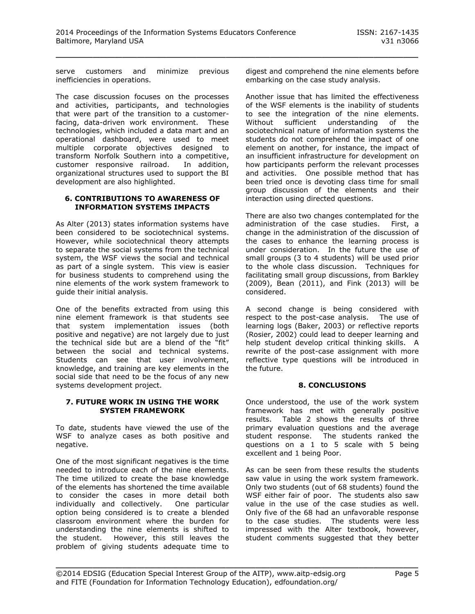serve customers and minimize previous inefficiencies in operations.

The case discussion focuses on the processes and activities, participants, and technologies that were part of the transition to a customerfacing, data-driven work environment. These technologies, which included a data mart and an operational dashboard, were used to meet multiple corporate objectives designed to transform Norfolk Southern into a competitive, customer responsive railroad. In addition, organizational structures used to support the BI development are also highlighted.

# **6. CONTRIBUTIONS TO AWARENESS OF INFORMATION SYSTEMS IMPACTS**

As Alter (2013) states information systems have been considered to be sociotechnical systems. However, while sociotechnical theory attempts to separate the social systems from the technical system, the WSF views the social and technical as part of a single system. This view is easier for business students to comprehend using the nine elements of the work system framework to guide their initial analysis.

One of the benefits extracted from using this nine element framework is that students see that system implementation issues (both positive and negative) are not largely due to just the technical side but are a blend of the "fit" between the social and technical systems. Students can see that user involvement, knowledge, and training are key elements in the social side that need to be the focus of any new systems development project.

# **7. FUTURE WORK IN USING THE WORK SYSTEM FRAMEWORK**

To date, students have viewed the use of the WSF to analyze cases as both positive and negative.

One of the most significant negatives is the time needed to introduce each of the nine elements. The time utilized to create the base knowledge of the elements has shortened the time available to consider the cases in more detail both individually and collectively. One particular option being considered is to create a blended classroom environment where the burden for understanding the nine elements is shifted to the student. However, this still leaves the problem of giving students adequate time to

digest and comprehend the nine elements before embarking on the case study analysis.

Another issue that has limited the effectiveness of the WSF elements is the inability of students to see the integration of the nine elements. Without sufficient understanding of the sociotechnical nature of information systems the students do not comprehend the impact of one element on another, for instance, the impact of an insufficient infrastructure for development on how participants perform the relevant processes and activities. One possible method that has been tried once is devoting class time for small group discussion of the elements and their interaction using directed questions.

There are also two changes contemplated for the administration of the case studies. First, a change in the administration of the discussion of the cases to enhance the learning process is under consideration. In the future the use of small groups (3 to 4 students) will be used prior to the whole class discussion. Techniques for facilitating small group discussions, from Barkley (2009), Bean (2011), and Fink (2013) will be considered.

A second change is being considered with respect to the post-case analysis. The use of learning logs (Baker, 2003) or reflective reports (Rosier, 2002) could lead to deeper learning and help student develop critical thinking skills. A rewrite of the post-case assignment with more reflective type questions will be introduced in the future.

# **8. CONCLUSIONS**

Once understood, the use of the work system framework has met with generally positive results. Table 2 shows the results of three primary evaluation questions and the average student response. The students ranked the questions on a 1 to 5 scale with 5 being excellent and 1 being Poor.

As can be seen from these results the students saw value in using the work system framework. Only two students (out of 68 students) found the WSF either fair of poor. The students also saw value in the use of the case studies as well. Only five of the 68 had an unfavorable response to the case studies. The students were less impressed with the Alter textbook, however, student comments suggested that they better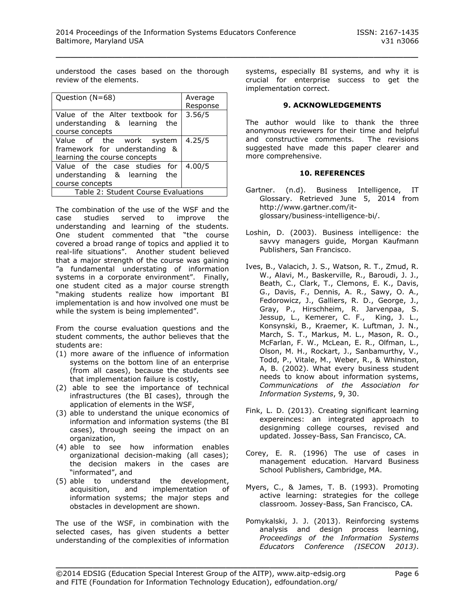understood the cases based on the thorough review of the elements.

| Question (N=68)                                                                           | Average<br>Response |  |
|-------------------------------------------------------------------------------------------|---------------------|--|
| Value of the Alter textbook for<br>understanding & learning the<br>course concepts        | 3.56/5              |  |
| Value of the work system<br>framework for understanding &<br>learning the course concepts | 4.25/5              |  |
| Value of the case studies for<br>understanding & learning the<br>course concepts          | 4.00/5              |  |
| Table 2: Student Course Evaluations                                                       |                     |  |

The combination of the use of the WSF and the case studies served to improve the understanding and learning of the students. One student commented that "the course covered a broad range of topics and applied it to real-life situations". Another student believed that a major strength of the course was gaining "a fundamental understating of information systems in a corporate environment". Finally, one student cited as a major course strength "making students realize how important BI implementation is and how involved one must be while the system is being implemented".

From the course evaluation questions and the student comments, the author believes that the students are:

- (1) more aware of the influence of information systems on the bottom line of an enterprise (from all cases), because the students see that implementation failure is costly,
- (2) able to see the importance of technical infrastructures (the BI cases), through the application of elements in the WSF,
- (3) able to understand the unique economics of information and information systems (the BI cases), through seeing the impact on an organization,
- (4) able to see how information enables organizational decision-making (all cases); the decision makers in the cases are "informated", and
- (5) able to understand the development, acquisition, and implementation of information systems; the major steps and obstacles in development are shown.

The use of the WSF, in combination with the selected cases, has given students a better understanding of the complexities of information

systems, especially BI systems, and why it is crucial for enterprise success to get the implementation correct.

# **9. ACKNOWLEDGEMENTS**

The author would like to thank the three anonymous reviewers for their time and helpful and constructive comments. The revisions suggested have made this paper clearer and more comprehensive.

# **10. REFERENCES**

- Gartner. (n.d). Business Intelligence, IT Glossary. Retrieved June 5, 2014 from [http://www.gartner.com/it](http://www.gartner.com/it-glossary/business-intelligence-bi/)[glossary/business-intelligence-bi/.](http://www.gartner.com/it-glossary/business-intelligence-bi/)
- Loshin, D. (2003). Business intelligence: the savvy managers guide, Morgan Kaufmann Publishers, San Francisco.
- Ives, B., Valacich, J. S., Watson, R. T., Zmud, R. W., Alavi, M., Baskerville, R., Baroudi, J. J., Beath, C., Clark, T., Clemons, E. K., Davis, G., Davis, F., Dennis, A. R., Sawy, O. A., Fedorowicz, J., Galliers, R. D., George, J., Gray, P., Hirschheim, R. Jarvenpaa, S. Jessup, L., Kemerer, C. F., King, J. L., Konsynski, B., Kraemer, K. Luftman, J. N., March, S. T., Markus, M. L., Mason, R. O., McFarlan, F. W., McLean, E. R., Olfman, L., Olson, M. H., Rockart, J., Sanbamurthy, V., Todd, P., Vitale, M., Weber, R., & Whinston, A, B. (2002). What every business student needs to know about information systems, *Communications of the Association for Information Systems*, 9, 30.
- Fink, L. D. (2013). Creating significant learning expereinces: an integrated approach to designming college courses, revised and updated. Jossey-Bass, San Francisco, CA.
- Corey, E. R. (1996) The use of cases in management education*.* Harvard Business School Publishers, Cambridge, MA.
- Myers, C., & James, T. B. (1993). Promoting active learning: strategies for the college classroom*.* Jossey-Bass, San Francisco, CA.
- Pomykalski, J. J. (2013). Reinforcing systems analysis and design process learning, *Proceedings of the Information Systems Educators Conference (ISECON 2013)*.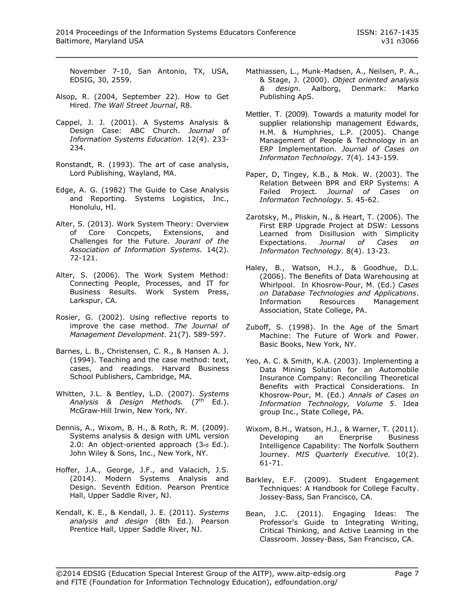November 7-10, San Antonio, TX, USA, EDSIG, 30, 2559.

- Alsop, R. (2004, September 22). How to Get Hired. *The Wall Street Journal*, R8.
- Cappel, J. J. (2001). A Systems Analysis & Design Case: ABC Church. *Journal of Information Systems Education.* 12(4). 233- 234.
- Ronstandt, R. (1993). The art of case analysis, Lord Publishing, Wayland, MA.
- Edge, A. G. (1982) The Guide to Case Analysis and Reporting. Systems Logistics, Inc., Honolulu, HI.
- Alter, S. (2013). Work System Theory: Overview of Core Concpets, Extensions, and Challenges for the Future. *Jouranl of the Association of Information Systems.* 14(2). 72-121.
- Alter, S. (2006). The Work System Method: Connecting People, Processes, and IT for Business Results. Work System Press, Larkspur, CA.
- Rosier, G. (2002). Using reflective reports to improve the case method. *The Journal of Management Development*. 21(7). 589-597.
- Barnes, L. B., Christensen, C. R., & Hansen A. J. (1994). Teaching and the case method: text, cases, and readings. Harvard Business School Publishers, Cambridge, MA.
- Whitten, J.L. & Bentley, L.D. (2007). *Systems*  Analysis & Design Methods. (7<sup>th</sup> Ed.). McGraw-Hill Irwin, New York, NY.
- Dennis, A., Wixom, B. H., & Roth, R. M. (2009). Systems analysis & design with UML version 2.0: An object-oriented approach (3rd Ed.). John Wiley & Sons, Inc., New York, NY.
- Hoffer, J.A., George, J.F., and Valacich, J.S. (2014). Modern Systems Analysis and Design. Seventh Edition. Pearson Prentice Hall, Upper Saddle River, NJ.
- Kendall, K. E., & Kendall, J. E. (2011). *Systems analysis and design* (8th Ed.). Pearson Prentice Hall, Upper Saddle River, NJ.
- Mathiassen, L., Munk-Madsen, A., Neilsen, P. A., & Stage, J. (2000). *Object oriented analysis & design*. Aalborg, Denmark: Marko Publishing ApS.
- Mettler, T. (2009). Towards a maturity model for supplier relationship management Edwards, H.M. & Humphries, L.P. (2005). Change Management of People & Technology in an ERP Implementation. *Journal of Cases on Informaton Technology.* 7(4). 143-159.
- Paper, D, Tingey, K.B., & Mok. W. (2003). The Relation Between BPR and ERP Systems: A Failed Project. *Journal of Cases on Informaton Technology.* 5. 45-62.
- Zarotsky, M., Pliskin, N., & Heart, T. (2006). The First ERP Upgrade Project at DSW: Lessons Learned from Disillusion with Simplicity Expectations. *Journal of Cases on Informaton Technology.* 8(4). 13-23.
- Haley, B., Watson, H.J., & Goodhue, D.L. (2006). The Benefits of Data Warehousing at Whirlpool. In Khosrow-Pour, M. (Ed.) *Cases on Database Technologies and Applications*. Information Resources Management Association, State College, PA.
- Zuboff, S. (1998). In the Age of the Smart Machine: The Future of Work and Power. Basic Books, New York, NY.
- Yeo, A. C. & Smith, K.A. (2003). Implementing a Data Mining Solution for an Automobile Insurance Company: Reconciling Theoretical Benefits with Practical Considerations. In Khosrow-Pour, M. (Ed.) *Annals of Cases on Information Technology, Volume 5*. Idea group Inc., State College, PA.
- Wixom, B.H., Watson, H.J., & Warner, T. (2011). Developing an Enerprise Business Intelligence Capability: The Norfolk Southern Journey. *MIS Quarterly Executive.* 10(2). 61-71.
- Barkley, E.F. (2009). Student Engagement Techniques: A Handbook for College Faculty. Jossey-Bass, San Francisco, CA.
- Bean, J.C. (2011). Engaging Ideas: The Professor's Guide to Integrating Writing, Critical Thinking, and Active Learning in the Classroom. Jossey-Bass, San Francisco, CA.